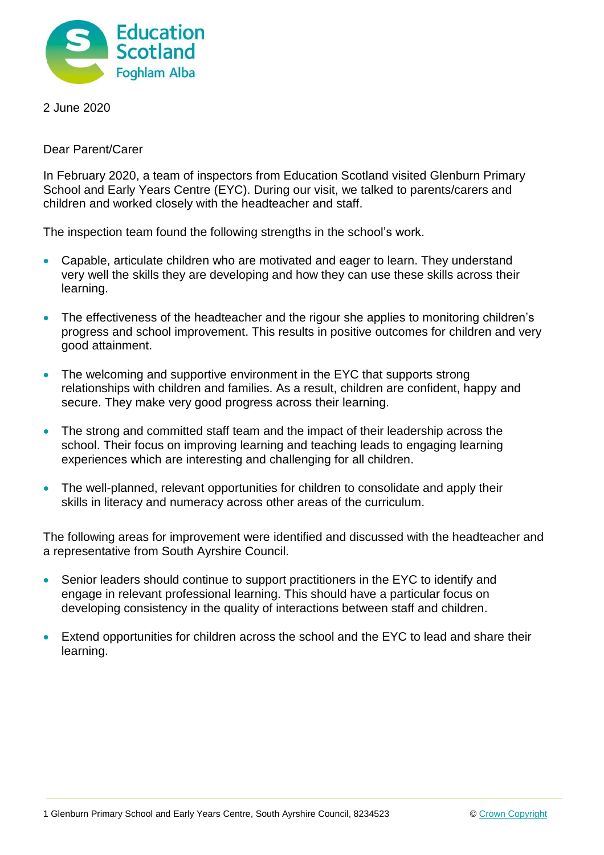

2 June 2020

Dear Parent/Carer

In February 2020, a team of inspectors from Education Scotland visited Glenburn Primary School and Early Years Centre (EYC). During our visit, we talked to parents/carers and children and worked closely with the headteacher and staff.

The inspection team found the following strengths in the school's work.

- Capable, articulate children who are motivated and eager to learn. They understand very well the skills they are developing and how they can use these skills across their learning.
- The effectiveness of the headteacher and the rigour she applies to monitoring children's progress and school improvement. This results in positive outcomes for children and very good attainment.
- The welcoming and supportive environment in the EYC that supports strong relationships with children and families. As a result, children are confident, happy and secure. They make very good progress across their learning.
- The strong and committed staff team and the impact of their leadership across the school. Their focus on improving learning and teaching leads to engaging learning experiences which are interesting and challenging for all children.
- The well-planned, relevant opportunities for children to consolidate and apply their skills in literacy and numeracy across other areas of the curriculum.

The following areas for improvement were identified and discussed with the headteacher and a representative from South Ayrshire Council.

- Senior leaders should continue to support practitioners in the EYC to identify and engage in relevant professional learning. This should have a particular focus on developing consistency in the quality of interactions between staff and children.
- Extend opportunities for children across the school and the EYC to lead and share their learning.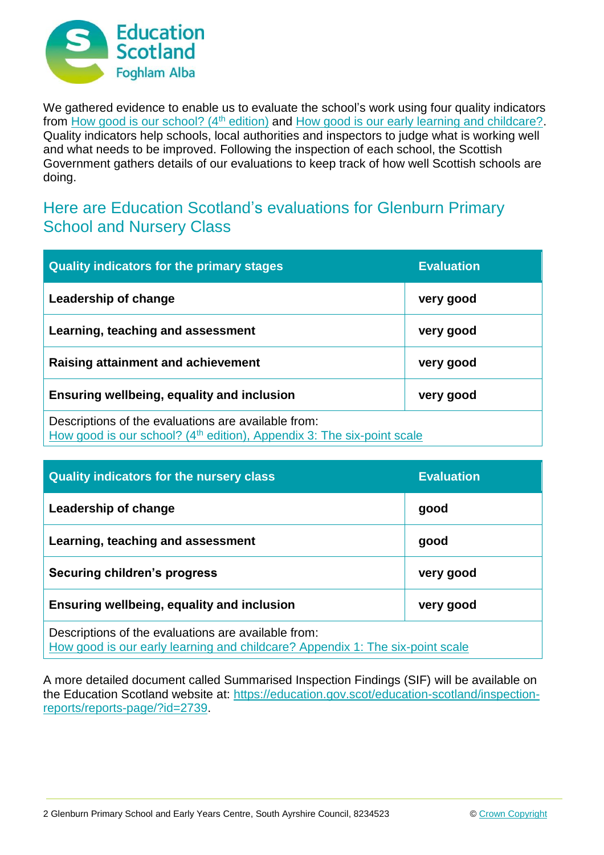

We gathered evidence to enable us to evaluate the school's work using four quality indicators from [How good is our school? \(4](https://education.gov.scot/improvement/Documents/Frameworks_SelfEvaluation/FRWK2_NIHeditHGIOS/FRWK2_HGIOS4.pdf)<sup>th</sup> edition) and [How good is our early learning and childcare?.](https://education.gov.scot/improvement/Documents/Frameworks_SelfEvaluation/FRWK1_NIHeditSelf-evaluationHGIELC/HGIOELC020316Revised.pdf) Quality indicators help schools, local authorities and inspectors to judge what is working well and what needs to be improved. Following the inspection of each school, the Scottish Government gathers details of our evaluations to keep track of how well Scottish schools are doing.

## Here are Education Scotland's evaluations for Glenburn Primary School and Nursery Class

| <b>Quality indicators for the primary stages</b>                                                                                          | <b>Evaluation</b> |
|-------------------------------------------------------------------------------------------------------------------------------------------|-------------------|
| Leadership of change                                                                                                                      | very good         |
| Learning, teaching and assessment                                                                                                         | very good         |
| <b>Raising attainment and achievement</b>                                                                                                 | very good         |
| <b>Ensuring wellbeing, equality and inclusion</b>                                                                                         | very good         |
| Descriptions of the evaluations are available from:<br>How good is our school? (4 <sup>th</sup> edition), Appendix 3: The six-point scale |                   |

| <b>Quality indicators for the nursery class</b>                                                                                      | <b>Evaluation</b> |
|--------------------------------------------------------------------------------------------------------------------------------------|-------------------|
| Leadership of change                                                                                                                 | good              |
| Learning, teaching and assessment                                                                                                    | good              |
| Securing children's progress                                                                                                         | very good         |
| Ensuring wellbeing, equality and inclusion                                                                                           | very good         |
| Descriptions of the evaluations are available from:<br>How good is our early learning and childcare? Appendix 1: The six-point scale |                   |

A more detailed document called Summarised Inspection Findings (SIF) will be available on the Education Scotland website at: [https://education.gov.scot/education-scotland/inspection](https://education.gov.scot/education-scotland/inspection-reports/reports-page/?id=2739)[reports/reports-page/?id=2739.](https://education.gov.scot/education-scotland/inspection-reports/reports-page/?id=2739)